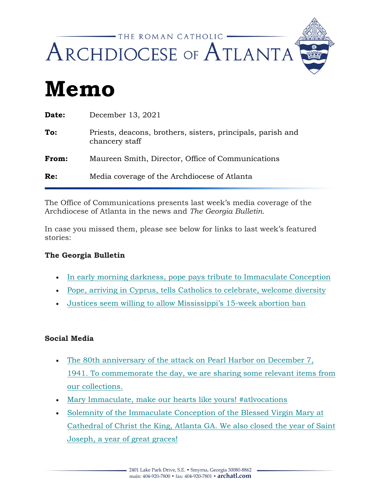

# **Memo**

| Date: | December 13, 2021                                                             |
|-------|-------------------------------------------------------------------------------|
| To:   | Priests, deacons, brothers, sisters, principals, parish and<br>chancery staff |
| From: | Maureen Smith, Director, Office of Communications                             |
| Re:   | Media coverage of the Archdiocese of Atlanta                                  |
|       |                                                                               |

The Office of Communications presents last week's media coverage of the Archdiocese of Atlanta in the news and *The Georgia Bulletin.*

In case you missed them, please see below for links to last week's featured stories:

#### **The Georgia Bulletin**

- [In early morning darkness, pope pays tribute to Immaculate Conception](https://archatl.us15.list-manage.com/track/click?u=e910c4ce1ad5971fa2da271da&id=573a6372da&e=97be40fd27)
- [Pope, arriving in Cyprus, tells Catholics to celebrate, welcome diversity](https://archatl.us15.list-manage.com/track/click?u=e910c4ce1ad5971fa2da271da&id=a79538ce38&e=97be40fd27)
- [Justices seem willing to allow Mississippi's 15-week abortion ban](https://archatl.us15.list-manage.com/track/click?u=e910c4ce1ad5971fa2da271da&id=5c2bc3ff52&e=97be40fd27)

#### **Social Media**

- [The 80th anniversary of the attack on Pearl Harbor on December 7,](https://archatl.us15.list-manage.com/track/click?u=e910c4ce1ad5971fa2da271da&id=0524e5c455&e=97be40fd27)  [1941. To commemorate the day, we are sharing some relevant items from](https://archatl.us15.list-manage.com/track/click?u=e910c4ce1ad5971fa2da271da&id=0524e5c455&e=97be40fd27)  [our collections.](https://archatl.us15.list-manage.com/track/click?u=e910c4ce1ad5971fa2da271da&id=0524e5c455&e=97be40fd27)
- [Mary Immaculate, make our hearts like yours! #atlvocations](https://archatl.us15.list-manage.com/track/click?u=e910c4ce1ad5971fa2da271da&id=d8ba4d6ccc&e=97be40fd27)
- [Solemnity of the Immaculate Conception of the Blessed Virgin Mary at](https://archatl.us15.list-manage.com/track/click?u=e910c4ce1ad5971fa2da271da&id=2f31b061e5&e=97be40fd27)  [Cathedral of Christ the King, Atlanta GA. We also closed the year of Saint](https://archatl.us15.list-manage.com/track/click?u=e910c4ce1ad5971fa2da271da&id=2f31b061e5&e=97be40fd27)  [Joseph, a year of great graces!](https://archatl.us15.list-manage.com/track/click?u=e910c4ce1ad5971fa2da271da&id=2f31b061e5&e=97be40fd27)